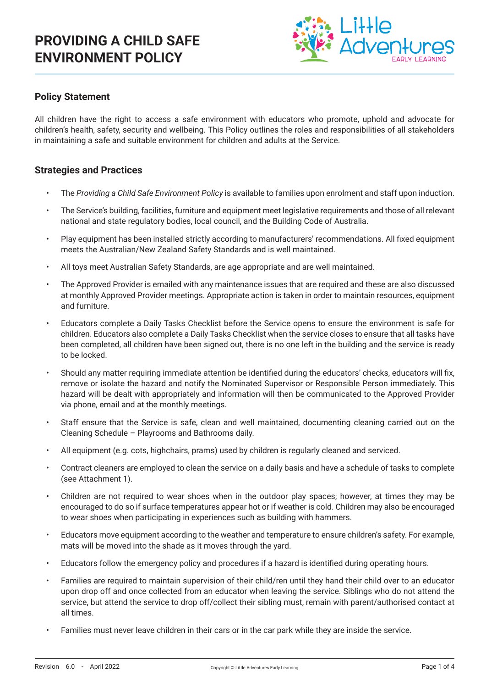

## **Policy Statement**

All children have the right to access a safe environment with educators who promote, uphold and advocate for children's health, safety, security and wellbeing. This Policy outlines the roles and responsibilities of all stakeholders in maintaining a safe and suitable environment for children and adults at the Service.

#### **Strategies and Practices**

- The *Providing a Child Safe Environment Policy* is available to families upon enrolment and staff upon induction.
- The Service's building, facilities, furniture and equipment meet legislative requirements and those of all relevant national and state regulatory bodies, local council, and the Building Code of Australia.
- Play equipment has been installed strictly according to manufacturers' recommendations. All fixed equipment meets the Australian/New Zealand Safety Standards and is well maintained.
- All toys meet Australian Safety Standards, are age appropriate and are well maintained.
- The Approved Provider is emailed with any maintenance issues that are required and these are also discussed at monthly Approved Provider meetings. Appropriate action is taken in order to maintain resources, equipment and furniture.
- Educators complete a Daily Tasks Checklist before the Service opens to ensure the environment is safe for children. Educators also complete a Daily Tasks Checklist when the service closes to ensure that all tasks have been completed, all children have been signed out, there is no one left in the building and the service is ready to be locked.
- Should any matter requiring immediate attention be identified during the educators' checks, educators will fix, remove or isolate the hazard and notify the Nominated Supervisor or Responsible Person immediately. This hazard will be dealt with appropriately and information will then be communicated to the Approved Provider via phone, email and at the monthly meetings.
- Staff ensure that the Service is safe, clean and well maintained, documenting cleaning carried out on the Cleaning Schedule – Playrooms and Bathrooms daily.
- All equipment (e.g. cots, highchairs, prams) used by children is regularly cleaned and serviced.
- Contract cleaners are employed to clean the service on a daily basis and have a schedule of tasks to complete (see Attachment 1).
- Children are not required to wear shoes when in the outdoor play spaces; however, at times they may be encouraged to do so if surface temperatures appear hot or if weather is cold. Children may also be encouraged to wear shoes when participating in experiences such as building with hammers.
- Educators move equipment according to the weather and temperature to ensure children's safety. For example, mats will be moved into the shade as it moves through the yard.
- Educators follow the emergency policy and procedures if a hazard is identified during operating hours.
- Families are required to maintain supervision of their child/ren until they hand their child over to an educator upon drop off and once collected from an educator when leaving the service. Siblings who do not attend the service, but attend the service to drop off/collect their sibling must, remain with parent/authorised contact at all times.
- Families must never leave children in their cars or in the car park while they are inside the service.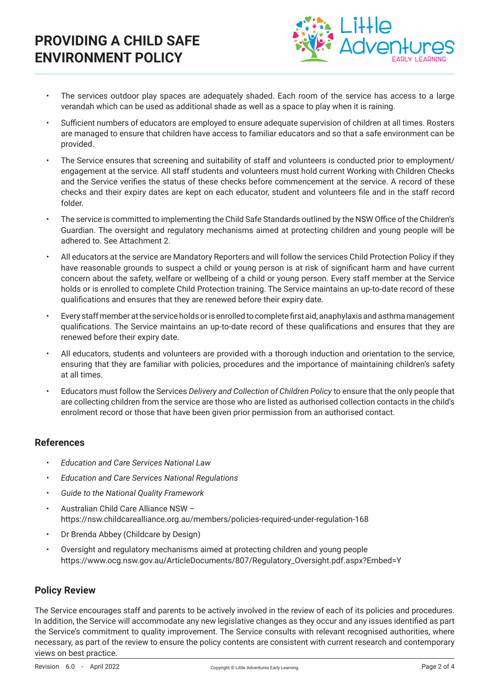

- The services outdoor play spaces are adequately shaded. Each room of the service has access to a large verandah which can be used as additional shade as well as a space to play when it is raining.
- Sufficient numbers of educators are employed to ensure adequate supervision of children at all times. Rosters are managed to ensure that children have access to familiar educators and so that a safe environment can be provided.
- The Service ensures that screening and suitability of staff and volunteers is conducted prior to employment/ engagement at the service. All staff students and volunteers must hold current Working with Children Checks and the Service verifies the status of these checks before commencement at the service. A record of these checks and their expiry dates are kept on each educator, student and volunteers file and in the staff record folder.
- The service is committed to implementing the Child Safe Standards outlined by the NSW Office of the Children's Guardian. The oversight and regulatory mechanisms aimed at protecting children and young people will be adhered to. See Attachment 2.
- All educators at the service are Mandatory Reporters and will follow the services Child Protection Policy if they have reasonable grounds to suspect a child or young person is at risk of significant harm and have current concern about the safety, welfare or wellbeing of a child or young person. Every staff member at the Service holds or is enrolled to complete Child Protection training. The Service maintains an up-to-date record of these qualifications and ensures that they are renewed before their expiry date.
- Every staff member at the service holds or is enrolled to complete first aid, anaphylaxis and asthma management qualifications. The Service maintains an up-to-date record of these qualifications and ensures that they are renewed before their expiry date.
- All educators, students and volunteers are provided with a thorough induction and orientation to the service, ensuring that they are familiar with policies, procedures and the importance of maintaining children's safety at all times.
- Educators must follow the Services *Delivery and Collection of Children Policy* to ensure that the only people that are collecting children from the service are those who are listed as authorised collection contacts in the child's enrolment record or those that have been given prior permission from an authorised contact.

## **References**

- *• Education and Care Services National Law*
- *• Education and Care Services National Regulations*
- *• Guide to the National Quality Framework*
- Australian Child Care Alliance NSW https://nsw.childcarealliance.org.au/members/policies-required-under-regulation-168
- Dr Brenda Abbey (Childcare by Design)
- Oversight and regulatory mechanisms aimed at protecting children and young people https://www.ocg.nsw.gov.au/ArticleDocuments/807/Regulatory\_Oversight.pdf.aspx?Embed=Y

#### **Policy Review**

The Service encourages staff and parents to be actively involved in the review of each of its policies and procedures. In addition, the Service will accommodate any new legislative changes as they occur and any issues identified as part the Service's commitment to quality improvement. The Service consults with relevant recognised authorities, where necessary, as part of the review to ensure the policy contents are consistent with current research and contemporary views on best practice.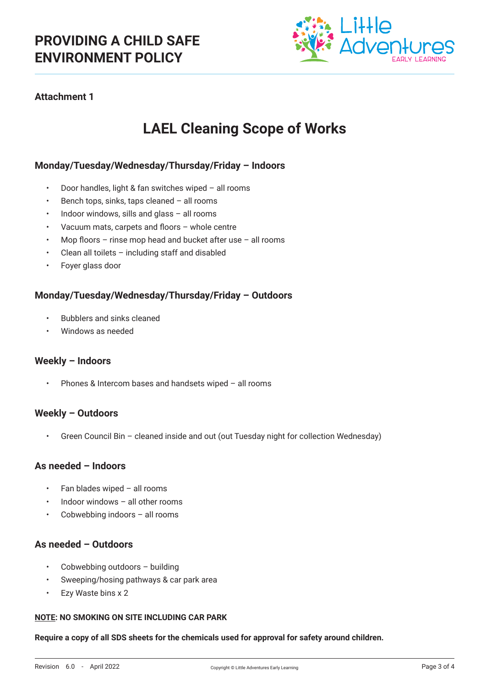

## **Attachment 1**

# **LAEL Cleaning Scope of Works**

#### **Monday/Tuesday/Wednesday/Thursday/Friday – Indoors**

- Door handles, light & fan switches wiped all rooms
- Bench tops, sinks, taps cleaned all rooms
- Indoor windows, sills and glass  $-$  all rooms
- Vacuum mats, carpets and floors whole centre
- Mop floors rinse mop head and bucket after use all rooms
- Clean all toilets including staff and disabled
- Foyer glass door

#### **Monday/Tuesday/Wednesday/Thursday/Friday – Outdoors**

- Bubblers and sinks cleaned
- Windows as needed

#### **Weekly – Indoors**

• Phones & Intercom bases and handsets wiped – all rooms

#### **Weekly – Outdoors**

• Green Council Bin – cleaned inside and out (out Tuesday night for collection Wednesday)

#### **As needed – Indoors**

- Fan blades wiped all rooms
- Indoor windows all other rooms
- Cobwebbing indoors  $-$  all rooms

#### **As needed – Outdoors**

- Cobwebbing outdoors building
- Sweeping/hosing pathways & car park area
- Ezy Waste bins x 2

#### **NOTE: NO SMOKING ON SITE INCLUDING CAR PARK**

**Require a copy of all SDS sheets for the chemicals used for approval for safety around children.**